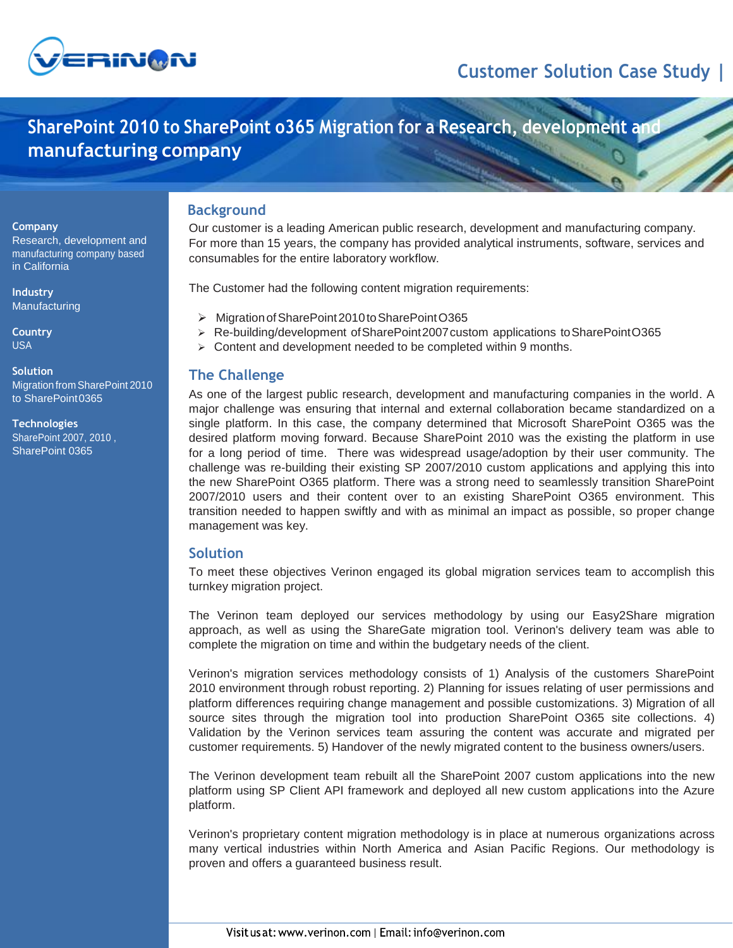

# **SharePoint 2010 to SharePoint o365 Migration for a Research, development and manufacturing company**

#### **Company**

Research, development and manufacturing company based in California

**Industry Manufacturing** 

**Country** USA

**Solution** Migration from SharePoint 2010 to SharePoint0365

**Technologies**  SharePoint 2007, 2010 , SharePoint 0365

## **Background**

Our customer is a leading American public research, development and manufacturing company. For more than 15 years, the company has provided analytical instruments, software, services and consumables for the entire laboratory workflow.

The Customer had the following content migration requirements:

- MigrationofSharePoint2010toSharePointO365
- $\triangleright$  Re-building/development of SharePoint 2007 custom applications to SharePoint O365
- $\triangleright$  Content and development needed to be completed within 9 months.

### **The Challenge**

As one of the largest public research, development and manufacturing companies in the world. A major challenge was ensuring that internal and external collaboration became standardized on a single platform. In this case, the company determined that Microsoft SharePoint O365 was the desired platform moving forward. Because SharePoint 2010 was the existing the platform in use for a long period of time. There was widespread usage/adoption by their user community. The challenge was re-building their existing SP 2007/2010 custom applications and applying this into the new SharePoint O365 platform. There was a strong need to seamlessly transition SharePoint 2007/2010 users and their content over to an existing SharePoint O365 environment. This transition needed to happen swiftly and with as minimal an impact as possible, so proper change management was key.

### **Solution**

To meet these objectives Verinon engaged its global migration services team to accomplish this turnkey migration project.

The Verinon team deployed our services methodology by using our Easy2Share migration approach, as well as using the ShareGate migration tool. Verinon's delivery team was able to complete the migration on time and within the budgetary needs of the client.

Verinon's migration services methodology consists of 1) Analysis of the customers SharePoint 2010 environment through robust reporting. 2) Planning for issues relating of user permissions and platform differences requiring change management and possible customizations. 3) Migration of all source sites through the migration tool into production SharePoint O365 site collections. 4) Validation by the Verinon services team assuring the content was accurate and migrated per customer requirements. 5) Handover of the newly migrated content to the business owners/users.

The Verinon development team rebuilt all the SharePoint 2007 custom applications into the new platform using SP Client API framework and deployed all new custom applications into the Azure platform.

Verinon's proprietary content migration methodology is in place at numerous organizations across many vertical industries within North America and Asian Pacific Regions. Our methodology is proven and offers a guaranteed business result.